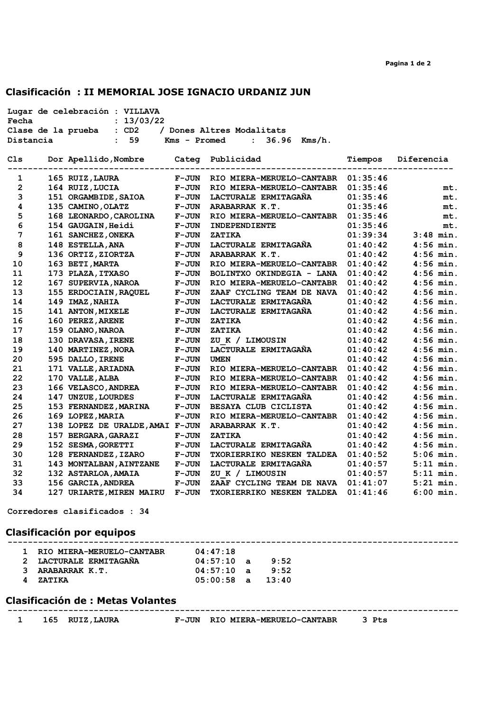# Clasificación : II MEMORIAL JOSE IGNACIO URDANIZ JUN

| Lugar de celebración : VILLAVA |  |                                       |              |                                      |          |                    |
|--------------------------------|--|---------------------------------------|--------------|--------------------------------------|----------|--------------------|
| : 13/03/22<br>Fecha            |  |                                       |              |                                      |          |                    |
|                                |  | Clase de la prueba : CD2              |              | / Dones Altres Modalitats            |          |                    |
| Distancia                      |  | $\sim$ 59                             | Kms - Promed | : $36.96$ Kms/h.                     |          |                    |
|                                |  |                                       |              |                                      |          |                    |
| Cls.                           |  | Dor Apellido, Nombre Categ Publicidad |              |                                      |          | Tiempos Diferencia |
|                                |  |                                       |              |                                      |          |                    |
| 1                              |  | 165 RUIZ, LAURA                       | <b>F-JUN</b> | RIO MIERA-MERUELO-CANTABR 01:35:46   |          |                    |
| $\mathbf{2}$                   |  | 164 RUIZ, LUCIA                       | <b>F-JUN</b> | RIO MIERA-MERUELO-CANTABR 01:35:46   |          | mt.                |
| 3                              |  | 151 ORGAMBIDE, SAIOA F-JUN            |              | LACTURALE ERMITAGANA                 | 01:35:46 | mt.                |
| $\overline{\mathbf{4}}$        |  | 135 CAMINO, OLATZ                     | <b>F-JUN</b> | ARABARRAK K.T.                       | 01:35:46 | mt.                |
| 5                              |  | 168 LEONARDO, CAROLINA                | <b>F-JUN</b> | RIO MIERA-MERUELO-CANTABR 01:35:46   |          | mt.                |
| 6                              |  | 154 GAUGAIN, Heidi                    | <b>F-JUN</b> | INDEPENDIENTE                        | 01:35:46 | mt.                |
| 7                              |  | 161 SANCHEZ, ONEKA                    | <b>F-JUN</b> | ZATIKA                               | 01:39:34 | $3:48$ min.        |
| 8                              |  | 148 ESTELLA, ANA                      | <b>F-JUN</b> | <b>LACTURALE ERMITAGAÑA</b>          | 01:40:42 | $4:56$ min.        |
| 9                              |  | 136 ORTIZ, ZIORTZA                    | <b>F-JUN</b> | ARABARRAK K.T.                       | 01:40:42 | $4:56$ min.        |
| 10                             |  | 163 BETI, MARTA                       | <b>F-JUN</b> | RIO MIERA-MERUELO-CANTABR 01:40:42   |          | $4:56$ min.        |
| 11                             |  | 173 PLAZA, ITXASO                     | <b>F-JUN</b> | BOLINTXO OKINDEGIA - LANA $01:40:42$ |          | $4:56$ min.        |
| 12                             |  | 167 SUPERVIA, NAROA                   | <b>F-JUN</b> | RIO MIERA-MERUELO-CANTABR            | 01:40:42 | $4:56$ min.        |
| 13                             |  | 155 ERDOCIAIN, RAQUEL                 | <b>F-JUN</b> | ZAAF CYCLING TEAM DE NAVA            | 01:40:42 | $4:56$ min.        |
| 14                             |  | 149 IMAZ, NAHIA                       | <b>F-JUN</b> | LACTURALE ERMITAGAÑA                 | 01:40:42 | $4:56$ min.        |
| 15                             |  | 141 ANTON, MIXELE                     | <b>F-JUN</b> | LACTURALE ERMITAGAÑA                 | 01:40:42 | $4:56$ min.        |
| 16                             |  | 160 PEREZ, ARENE                      | <b>F-JUN</b> | ZATIKA                               | 01:40:42 | $4:56$ min.        |
| 17                             |  | 159 OLANO, NAROA                      | <b>F-JUN</b> | ZATIKA                               | 01:40:42 | $4:56$ min.        |
| 18                             |  | 130 DRAVASA, IRENE                    | <b>F-JUN</b> | ZU K / LIMOUSIN                      | 01:40:42 | $4:56$ min.        |
| 19                             |  | <b>140 MARTINEZ, NORA</b>             | <b>F-JUN</b> | LACTURALE ERMITAGAÑA                 | 01:40:42 | $4:56$ min.        |
| 20                             |  | 595 DALLO, IRENE                      | <b>F-JUN</b> | <b>UMEN</b>                          | 01:40:42 | $4:56$ min.        |
| 21                             |  | 171 VALLE, ARIADNA                    | <b>F-JUN</b> | RIO MIERA-MERUELO-CANTABR 01:40:42   |          | $4:56$ min.        |
| 22                             |  | 170 VALLE, ALBA                       | <b>F-JUN</b> | RIO MIERA-MERUELO-CANTABR 01:40:42   |          | $4:56$ min.        |
| 23                             |  | 166 VELASCO, ANDREA F-JUN             |              | RIO MIERA-MERUELO-CANTABR 01:40:42   |          | $4:56$ min.        |
| 24                             |  | 147 UNZUE, LOURDES                    | <b>F-JUN</b> | LACTURALE ERMITAGANA                 | 01:40:42 | $4:56$ min.        |
| 25                             |  | 153 FERNANDEZ, MARINA                 | <b>F-JUN</b> | BESAYA CLUB CICLISTA                 | 01:40:42 | $4:56$ min.        |
| 26                             |  | 169 LOPEZ, MARIA                      | <b>F-JUN</b> | RIO MIERA-MERUELO-CANTABR 01:40:42   |          | $4:56$ min.        |
| 27                             |  | 138 LOPEZ DE URALDE, AMAI F-JUN       |              | <b>ARABARRAK K.T.</b>                | 01:40:42 | $4:56$ min.        |
| 28                             |  | 157 BERGARA, GARAZI F-JUN             |              | ZATIKA                               | 01:40:42 | $4:56$ min.        |
| 29                             |  | 152 SESMA, GORETTI                    | <b>F-JUN</b> | LACTURALE ERMITAGAÑA                 | 01:40:42 | $4:56$ min.        |
| 30                             |  | 128 FERNANDEZ, IZARO                  | <b>F-JUN</b> | TXORIERRIKO NESKEN TALDEA 01:40:52   |          | $5:06$ min.        |
| 31                             |  | 143 MONTALBAN, AINTZANE               | <b>F-JUN</b> | LACTURALE ERMITAGAÑA                 | 01:40:57 | $5:11$ min.        |
| 32                             |  | <b>132 ASTARLOA, AMAIA</b>            | <b>F-JUN</b> | ZU K / LIMOUSIN                      | 01:40:57 | $5:11$ min.        |
| 33                             |  | 156 GARCIA, ANDREA                    | <b>F-JUN</b> | ZAAF CYCLING TEAM DE NAVA $01:41:07$ |          | $5:21$ min.        |
| 34                             |  | 127 URIARTE, MIREN MAIRU F-JUN        |              | <b>TXORIERRIKO NESKEN TALDEA</b>     | 01:41:46 | $6:00$ min.        |
|                                |  |                                       |              |                                      |          |                    |

Corredores clasificados : 34

# Clasificación por equipos

| 1 RIO MIERA-MERUELO-CANTABR | 04:47:18             |      |  |  |
|-----------------------------|----------------------|------|--|--|
| 2 LACTURALE ERMITAGANA      | $04:57:10$ a         | 9:52 |  |  |
| ARABARRAK K.T.              | 04:57:10a            | 9:52 |  |  |
| <b>ZATTKA</b>               | $05:00:58$ a $13:40$ |      |  |  |
|                             |                      |      |  |  |

### Clasificación de : Metas Volantes

|  | -- | им н<br>w |  |
|--|----|-----------|--|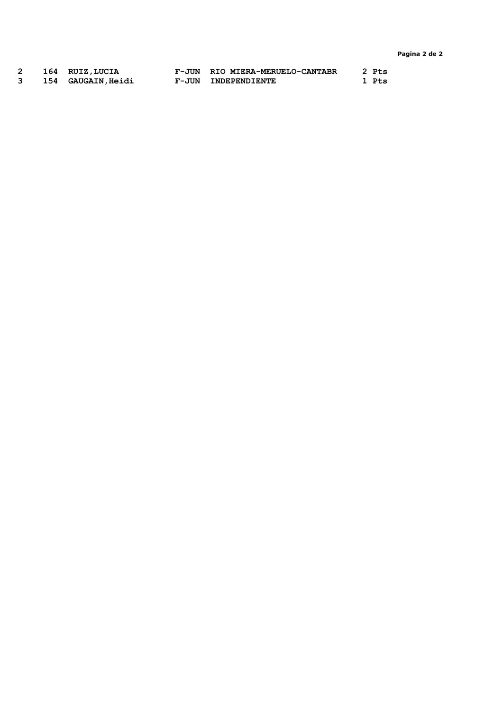Pagina 2 de 2

|  | 164 RUIZ, LUCIA           | F-JUN RIO MIERA-MERUELO-CANTABR | 2 Pts |
|--|---------------------------|---------------------------------|-------|
|  | <b>154 GAUGAIN, Heidi</b> | F-JUN INDEPENDIENTE             | 1 Pts |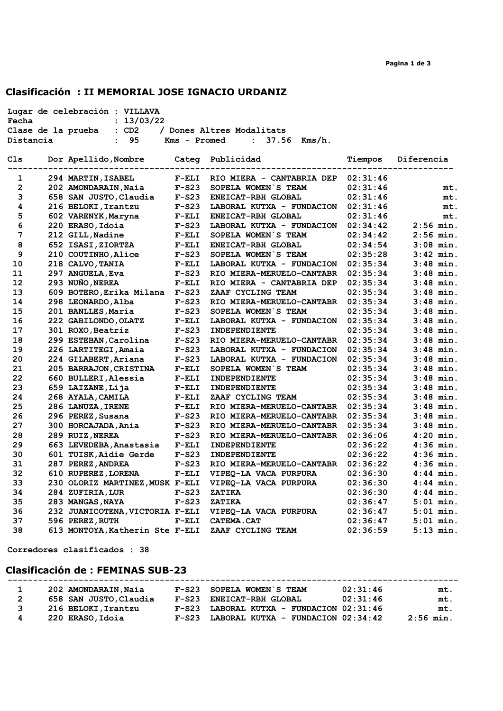# Clasificación : II MEMORIAL JOSE IGNACIO URDANIZ

| Lugar de celebración : VILLAVA                                         |                                                            |         |                                      |          |                    |  |
|------------------------------------------------------------------------|------------------------------------------------------------|---------|--------------------------------------|----------|--------------------|--|
| Fecha : 13/03/22<br>Clase de la prueba : CD2 / Dones Altres Modalitats |                                                            |         |                                      |          |                    |  |
|                                                                        |                                                            |         |                                      |          |                    |  |
| Distancia                                                              | $\cdot$ 95                                                 |         | $Kms - Promed$ : 37.56 $Kms/h$ .     |          |                    |  |
| Cls                                                                    | Dor Apellido, Nombre Categ Publicidad                      |         |                                      |          | Tiempos Diferencia |  |
|                                                                        |                                                            |         |                                      |          |                    |  |
| 1                                                                      | 294 MARTIN, ISABEL F-ELI                                   |         | RIO MIERA - CANTABRIA DEP $02:31:46$ |          |                    |  |
| $\overline{2}$                                                         |                                                            | $F-S23$ | SOPELA WOMEN S TEAM                  | 02:31:46 | mt.                |  |
| 3                                                                      | 202 AMONDARAIN, Naia F-S23<br>658 SAN JUSTO, Claudia F-S23 |         | ENEICAT-RBH GLOBAL                   | 02:31:46 | mt.                |  |
| 4                                                                      | 216 BELOKI,Irantzu                                         | $F-S23$ | LABORAL KUTXA - FUNDACION 02:31:46   |          | mt.                |  |
| 5                                                                      | 602 VARENYK, Maryna F-ELI<br>220 ERASO, Idoia F-S23        |         | ENEICAT-RBH GLOBAL                   | 02:31:46 | mt.                |  |
| 6                                                                      |                                                            |         | LABORAL KUTXA - FUNDACION 02:34:42   |          | $2:56$ min.        |  |
| 7                                                                      | 212 GILL, Nadine<br>652 ISASI, ZIORTZA                     | $F-ELI$ | SOPELA WOMEN S TEAM                  | 02:34:42 | $2:56$ min.        |  |
| 8                                                                      | 652 ISASI, ZIORTZA                                         | $F-ELI$ | <b>ENEICAT-RBH GLOBAL</b>            | 02:34:54 | $3:08$ min.        |  |
| 9                                                                      | 210 COUTINHO, Alice                                        | $F-S23$ | SOPELA WOMEN S TEAM                  | 02:35:28 | $3:42$ min.        |  |
| 10                                                                     | 218 CALVO, TANIA                                           |         | LABORAL KUTXA - FUNDACION 02:35:34   |          | $3:48$ min.        |  |
| 11                                                                     | F-ELI<br>F-S23<br>297 ANGUELA, Eva                         |         | RIO MIERA-MERUELO-CANTABR 02:35:34   |          | $3:48$ min.        |  |
| 12                                                                     | 293 NUÑO, NEREA                                            | $F-ELI$ | RIO MIERA - CANTABRIA DEP            | 02:35:34 | $3:48$ min.        |  |
| 13                                                                     | 609 BOTERO, Erika Milana F-S23                             |         | ZAAF CYCLING TEAM                    | 02:35:34 | $3:48$ min.        |  |
| 14                                                                     | 298 LEONARDO, Alba                                         | $F-S23$ | RIO MIERA-MERUELO-CANTABR 02:35:34   |          | $3:48$ min.        |  |
| 15                                                                     | 201 BANLLES, Maria                                         | $F-S23$ | SOPELA WOMEN S TEAM                  | 02:35:34 | $3:48$ min.        |  |
| 16                                                                     | 222 GABILONDO, OLATZ<br>301 ROXO.Beatriz                   | $F-ELI$ | LABORAL KUTXA - FUNDACION 02:35:34   |          | $3:48$ min.        |  |
| 17                                                                     | 301 ROXO, Beatriz                                          | $F-S23$ | INDEPENDIENTE                        | 02:35:34 | $3:48$ min.        |  |
| 18                                                                     | 299 ESTEBAN, Carolina                                      | $F-S23$ | RIO MIERA-MERUELO-CANTABR 02:35:34   |          | $3:48$ min.        |  |
| 19                                                                     | 226 LARTITEGI, Amaia                                       | $F-S23$ | LABORAL KUTXA - FUNDACION            | 02:35:34 | $3:48$ min.        |  |
| 20                                                                     | 224 GILABERT, Ariana                                       | $F-S23$ | LABORAL KUTXA - FUNDACION            | 02:35:34 | $3:48$ min.        |  |
| 21                                                                     | 205 BARRAJON, CRISTINA                                     | $F-ELI$ | SOPELA WOMEN S TEAM                  | 02:35:34 | $3:48$ min.        |  |
| 22                                                                     | 660 BULLERI, Alessia                                       | $F-ELI$ | INDEPENDIENTE                        | 02:35:34 | $3:48$ min.        |  |
| 23                                                                     | 659 LAIZANE, Lija                                          | $F-ELI$ | INDEPENDIENTE                        | 02:35:34 | $3:48$ min.        |  |
| 24                                                                     | 268 AYALA, CAMILA                                          | $F-ELI$ | ZAAF CYCLING TEAM                    | 02:35:34 | $3:48$ min.        |  |
| 25                                                                     | 286 LANUZA, IRENE                                          | $F-ELI$ | RIO MIERA-MERUELO-CANTABR 02:35:34   |          | $3:48$ min.        |  |
| 26                                                                     | 296 PEREZ, Susana                                          | $F-S23$ | RIO MIERA-MERUELO-CANTABR 02:35:34   |          | $3:48$ min.        |  |
| 27                                                                     | 300 HORCAJADA, Ania                                        | $F-S23$ | RIO MIERA-MERUELO-CANTABR            | 02:35:34 | $3:48$ min.        |  |
| 28                                                                     | 289 RUIZ, NEREA                                            | $F-S23$ | RIO MIERA-MERUELO-CANTABR 02:36:06   |          | $4:20$ min.        |  |
| 29                                                                     | 663 LEVEDEBA, Anastasia                                    | $F-ELI$ | <b>INDEPENDIENTE</b>                 | 02:36:22 | $4:36$ min.        |  |
| 30                                                                     | 601 TUISK, Aidie Gerde                                     | $F-S23$ | INDEPENDIENTE                        | 02:36:22 | $4:36$ min.        |  |
| 31                                                                     | 287 PEREZ, ANDREA                                          | $F-S23$ | RIO MIERA-MERUELO-CANTABR 02:36:22   |          | $4:36$ min.        |  |
| 32                                                                     | 610 RUPEREZ, LORENA                                        | $F-ELI$ | VIPEQ-LA VACA PURPURA                | 02:36:30 | $4:44$ min.        |  |
| 33                                                                     | 230 OLORIZ MARTINEZ, MUSK F-ELI                            |         | VIPEO-LA VACA PURPURA                | 02:36:30 | $4:44$ min.        |  |
| 34                                                                     | 284 ZUFIRIA, LUR                                           | $F-S23$ | ZATIKA                               | 02:36:30 | $4:44$ min.        |  |
| 35                                                                     | 283 MANGAS, NAYA                                           | $F-S23$ | ZATIKA                               | 02:36:47 | $5:01$ min.        |  |
| 36                                                                     | 232 JUANICOTENA, VICTORIA F-ELI                            |         | VIPEQ-LA VACA PURPURA                | 02:36:47 | $5:01$ min.        |  |
| 37                                                                     | 596 PEREZ, RUTH                                            |         | F-ELI CATEMA.CAT                     | 02:36:47 | $5:01$ min.        |  |
| 38                                                                     | 613 MONTOYA, Katherin Ste F-ELI                            |         | ZAAF CYCLING TEAM                    | 02:36:59 | $5:13$ min.        |  |
|                                                                        |                                                            |         |                                      |          |                    |  |

Corredores clasificados : 38

# Clasificación de : FEMINAS SUB-23

|              | 202 AMONDARAIN, Naia   | F-S23 SOPELA WOMEN S TEAM                  | 02:31:46 | mt.         |
|--------------|------------------------|--------------------------------------------|----------|-------------|
| $\mathbf{2}$ | 658 SAN JUSTO, Claudia | F-S23 ENEICAT-RBH GLOBAL                   | 02:31:46 | mt.         |
| 3            | 216 BELOKI, Irantzu    | $F-S23$ LABORAL KUTXA - FUNDACION 02:31:46 |          | mt.         |
| 4            | 220 ERASO, Idoia       | $F-S23$ LABORAL KUTXA - FUNDACION 02:34:42 |          | $2:56$ min. |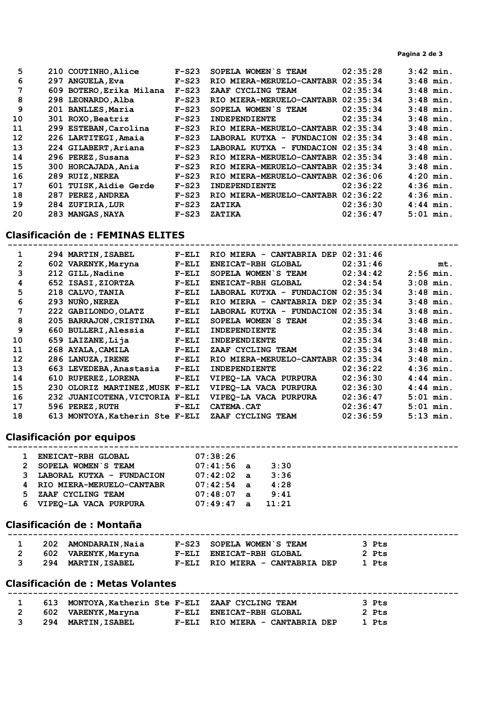| 5  | 210 COUTINHO, Alice      | $F-S23$ | SOPELA WOMEN S TEAM                | 02:35:28 | $3:42$ min. |
|----|--------------------------|---------|------------------------------------|----------|-------------|
| 6  | 297 ANGUELA, Eva         | $F-S23$ | RIO MIERA-MERUELO-CANTABR 02:35:34 |          | $3:48$ min. |
| 7  | 609 BOTERO, Erika Milana | $F-S23$ | ZAAF CYCLING TEAM                  | 02:35:34 | $3:48$ min. |
| 8  | 298 LEONARDO, Alba       | $F-S23$ | RIO MIERA-MERUELO-CANTABR 02:35:34 |          | $3:48$ min. |
| 9  | 201 BANLLES, Maria       | $F-S23$ | SOPELA WOMEN S TEAM                | 02:35:34 | $3:48$ min. |
| 10 | 301 ROXO, Beatriz        | $F-S23$ | INDEPENDIENTE                      | 02:35:34 | $3:48$ min. |
| 11 | 299 ESTEBAN, Carolina    | $F-S23$ | RIO MIERA-MERUELO-CANTABR 02:35:34 |          | $3:48$ min. |
| 12 | 226 LARTITEGI, Amaia     | $F-S23$ | LABORAL KUTXA - FUNDACION 02:35:34 |          | $3:48$ min. |
| 13 | 224 GILABERT, Ariana     | $F-S23$ | LABORAL KUTXA - FUNDACION 02:35:34 |          | $3:48$ min. |
| 14 | 296 PEREZ, Susana        | $F-S23$ | RIO MIERA-MERUELO-CANTABR 02:35:34 |          | $3:48$ min. |
| 15 | 300 HORCAJADA, Ania      | $F-S23$ | RIO MIERA-MERUELO-CANTABR 02:35:34 |          | $3:48$ min. |
| 16 | 289 RUIZ, NEREA          | $F-S23$ | RIO MIERA-MERUELO-CANTABR 02:36:06 |          | $4:20$ min. |
| 17 | 601 TUISK, Aidie Gerde   | $F-S23$ | INDEPENDIENTE                      | 02:36:22 | $4:36$ min. |
| 18 | 287 PEREZ, ANDREA        | $F-S23$ | RIO MIERA-MERUELO-CANTABR 02:36:22 |          | $4:36$ min. |
| 19 | 284 ZUFIRIA, LUR         | $F-S23$ | ZATIKA                             | 02:36:30 | $4:44$ min. |
| 20 | 283 MANGAS, NAYA         | $F-S23$ | ZATIKA                             | 02:36:47 | $5:01$ min. |

## Clasificación de : FEMINAS ELITES

|                |     | 294 MARTIN, ISABEL              | $F-ELI$ | RIO MIERA - CANTABRIA DEP | 02:31:46 |             |
|----------------|-----|---------------------------------|---------|---------------------------|----------|-------------|
| $\overline{2}$ |     | 602 VARENYK, Maryna             | $F-ELI$ | ENEICAT-RBH GLOBAL        | 02:31:46 | mt.         |
| 3              |     | 212 GILL, Nadine                | $F-ELI$ | SOPELA WOMEN S TEAM       | 02:34:42 | $2:56$ min. |
| 4              |     | 652 ISASI, ZIORTZA              | $F-ELI$ | ENEICAT-RBH GLOBAL        | 02:34:54 | $3:08$ min. |
| 5              |     | 218 CALVO, TANIA                | $F-ELI$ | LABORAL KUTXA - FUNDACION | 02:35:34 | $3:48$ min. |
| 6              |     | 293 NUÑO, NEREA                 | $F-ELI$ | RIO MIERA - CANTABRIA DEP | 02:35:34 | $3:48$ min. |
| 7              |     | 222 GABILONDO, OLATZ            | $F-ELI$ | LABORAL KUTXA - FUNDACION | 02:35:34 | $3:48$ min. |
| 8              |     | 205 BARRAJON, CRISTINA          | $F-ELI$ | SOPELA WOMEN S TEAM       | 02:35:34 | $3:48$ min. |
| 9              |     | 660 BULLERI, Alessia            | $F-ELI$ | <b>INDEPENDIENTE</b>      | 02:35:34 | $3:48$ min. |
| 10             |     | 659 LAIZANE, Lija               | $F-ELI$ | <b>INDEPENDIENTE</b>      | 02:35:34 | $3:48$ min. |
| 11             |     | 268 AYALA, CAMILA               | $F-ELI$ | ZAAF CYCLING TEAM         | 02:35:34 | $3:48$ min. |
| 12             |     | 286 LANUZA, IRENE               | $F-ELI$ | RIO MIERA-MERUELO-CANTABR | 02:35:34 | $3:48$ min. |
| 13             |     | 663 LEVEDEBA, Anastasia         | $F-ELI$ | INDEPENDIENTE             | 02:36:22 | $4:36$ min. |
| 14             |     | 610 RUPEREZ, LORENA             | $F-ELI$ | VIPEO-LA VACA PURPURA     | 02:36:30 | $4:44$ min. |
| 15             |     | 230 OLORIZ MARTINEZ, MUSK F-ELI |         | VIPEO-LA VACA PURPURA     | 02:36:30 | $4:44$ min. |
| 16             | 232 | JUANICOTENA, VICTORIA F-ELI     |         | VIPEO-LA VACA PURPURA     | 02:36:47 | $5:01$ min. |
| 17             |     | 596 PEREZ, RUTH                 | $F-ELI$ | CATEMA.CAT                | 02:36:47 | $5:01$ min. |
| 18             |     | 613 MONTOYA, Katherin Ste F-ELI |         | ZAAF CYCLING TEAM         | 02:36:59 | $5:13$ min. |

#### Clasificación por equipos -----------------------------------------------------------------------------------------

|   | <b>ENEICAT-RBH GLOBAL</b>   | 07:38:26     |       |
|---|-----------------------------|--------------|-------|
|   | 2 SOPELA WOMEN S TEAM       | $07:41:56$ a | 3:30  |
|   | 3 LABORAL KUTXA - FUNDACION | $07:42:02$ a | 3:36  |
|   | 4 RIO MIERA-MERUELO-CANTABR | $07:42:54$ a | 4:28  |
| 5 | ZAAF CYCLING TEAM           | $07:48:07$ a | 9:41  |
|   | 6 VIPEO-LA VACA PURPURA     | $07:49:47$ a | 11:21 |

# Clasificación de : Montaña

| <u>_</u> | AMONDARATN<br>พลาล | m F.A.<br>.SC<br><b>WOMEN</b><br>דחסו |  |
|----------|--------------------|---------------------------------------|--|
| - - -    |                    |                                       |  |

|  | 602 VARENYK, Maryna | F-ELI ENEICAT-RBH GLOBAL        | 2 Pts |
|--|---------------------|---------------------------------|-------|
|  | 294 MARTIN,ISABEL   | F-ELI RIO MIERA - CANTABRIA DEP | 1 Pts |

# Clasificación de : Metas Volantes

| 613 | MONTOYA, Katherin Ste F-ELI ZAAF CYCLING TEAM |                                 | 3 Pts |
|-----|-----------------------------------------------|---------------------------------|-------|
| 602 |                                               | F-ELI ENEICAT-RBH GLOBAL        | 2 Pts |
|     | VARENYK,Maryna                                |                                 |       |
|     | <b>294 MARTIN, ISABEL</b>                     | F-ELI RIO MIERA - CANTABRIA DEP | 1 Pts |
|     |                                               |                                 |       |